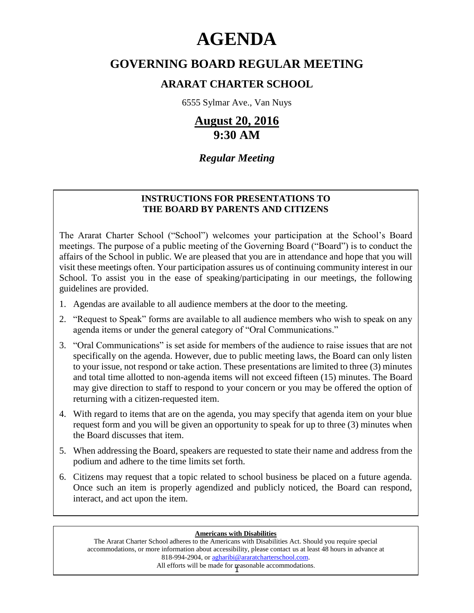# **AGENDA**

# **GOVERNING BOARD REGULAR MEETING**

# **ARARAT CHARTER SCHOOL**

6555 Sylmar Ave., Van Nuys

# **August 20, 2016 9:30 AM**

# *Regular Meeting*

# **INSTRUCTIONS FOR PRESENTATIONS TO THE BOARD BY PARENTS AND CITIZENS**

The Ararat Charter School ("School") welcomes your participation at the School's Board meetings. The purpose of a public meeting of the Governing Board ("Board") is to conduct the affairs of the School in public. We are pleased that you are in attendance and hope that you will visit these meetings often. Your participation assures us of continuing community interest in our School. To assist you in the ease of speaking/participating in our meetings, the following guidelines are provided.

- 1. Agendas are available to all audience members at the door to the meeting.
- 2. "Request to Speak" forms are available to all audience members who wish to speak on any agenda items or under the general category of "Oral Communications."
- 3. "Oral Communications" is set aside for members of the audience to raise issues that are not specifically on the agenda. However, due to public meeting laws, the Board can only listen to your issue, not respond or take action. These presentations are limited to three (3) minutes and total time allotted to non-agenda items will not exceed fifteen (15) minutes. The Board may give direction to staff to respond to your concern or you may be offered the option of returning with a citizen-requested item.
- 4. With regard to items that are on the agenda, you may specify that agenda item on your blue request form and you will be given an opportunity to speak for up to three (3) minutes when the Board discusses that item.
- 5. When addressing the Board, speakers are requested to state their name and address from the podium and adhere to the time limits set forth.
- 6. Citizens may request that a topic related to school business be placed on a future agenda. Once such an item is properly agendized and publicly noticed, the Board can respond, interact, and act upon the item.

#### **Americans with Disabilities**

All efforts will be made for reasonable accommodations. The Ararat Charter School adheres to the Americans with Disabilities Act. Should you require special accommodations, or more information about accessibility, please contact us at least 48 hours in advance at 818-994-2904, or agharibi@araratcharterschool.com.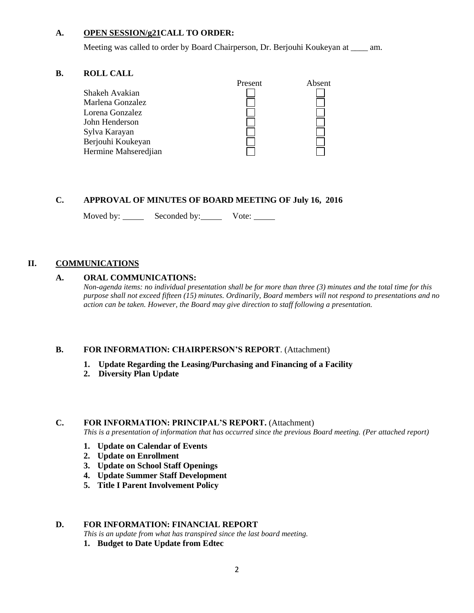#### **A. OPEN SESSION/g21CALL TO ORDER:**

Meeting was called to order by Board Chairperson, Dr. Berjouhi Koukeyan at \_\_\_\_ am.

#### **B. ROLL CALL**



# **C. APPROVAL OF MINUTES OF BOARD MEETING OF July 16, 2016**

Moved by: Seconded by: Vote: \_\_\_\_\_

#### **II. COMMUNICATIONS**

#### **A. ORAL COMMUNICATIONS:**

*Non-agenda items: no individual presentation shall be for more than three (3) minutes and the total time for this purpose shall not exceed fifteen (15) minutes. Ordinarily, Board members will not respond to presentations and no action can be taken. However, the Board may give direction to staff following a presentation.*

#### **B. FOR INFORMATION: CHAIRPERSON'S REPORT**. (Attachment)

- **1. Update Regarding the Leasing/Purchasing and Financing of a Facility**
- **2. Diversity Plan Update**

#### **C. FOR INFORMATION: PRINCIPAL'S REPORT.** (Attachment)

*This is a presentation of information that has occurred since the previous Board meeting. (Per attached report)*

- **1. Update on Calendar of Events**
- **2. Update on Enrollment**
- **3. Update on School Staff Openings**
- **4. Update Summer Staff Development**
- **5. Title I Parent Involvement Policy**

#### **D. FOR INFORMATION: FINANCIAL REPORT**

- *This is an update from what has transpired since the last board meeting.*
- **1. Budget to Date Update from Edtec**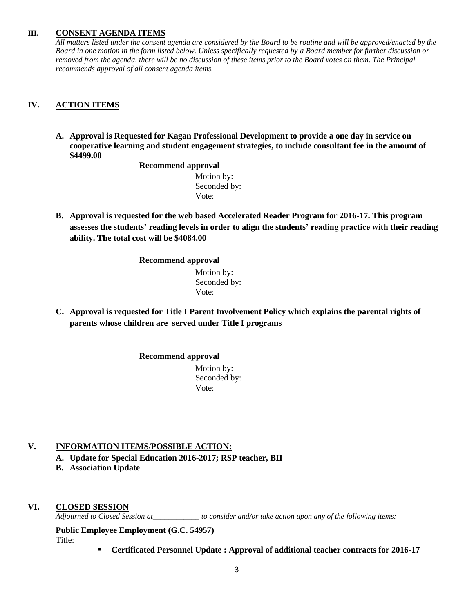#### **III. CONSENT AGENDA ITEMS**

*All matters listed under the consent agenda are considered by the Board to be routine and will be approved/enacted by the Board in one motion in the form listed below. Unless specifically requested by a Board member for further discussion or removed from the agenda, there will be no discussion of these items prior to the Board votes on them. The Principal recommends approval of all consent agenda items.*

# **IV. ACTION ITEMS**

**A. Approval is Requested for Kagan Professional Development to provide a one day in service on cooperative learning and student engagement strategies, to include consultant fee in the amount of \$4499.00**

#### **Recommend approval**

 Motion by: Seconded by: Vote:

**B. Approval is requested for the web based Accelerated Reader Program for 2016-17. This program assesses the students' reading levels in order to align the students' reading practice with their reading ability. The total cost will be \$4084.00**

**Recommend approval**

 Motion by: Seconded by: Vote:

**C. Approval is requested for Title I Parent Involvement Policy which explains the parental rights of parents whose children are served under Title I programs**

**Recommend approval**

 Motion by: Seconded by: Vote:

# **V. INFORMATION ITEMS**/**POSSIBLE ACTION:**

- **A. Update for Special Education 2016-2017; RSP teacher, BII**
- **B. Association Update**

# **VI. CLOSED SESSION**

*Adjourned to Closed Session at\_\_\_\_\_\_\_\_\_\_\_\_ to consider and/or take action upon any of the following items:*

**Public Employee Employment (G.C. 54957)** Title:

**Certificated Personnel Update : Approval of additional teacher contracts for 2016-17**